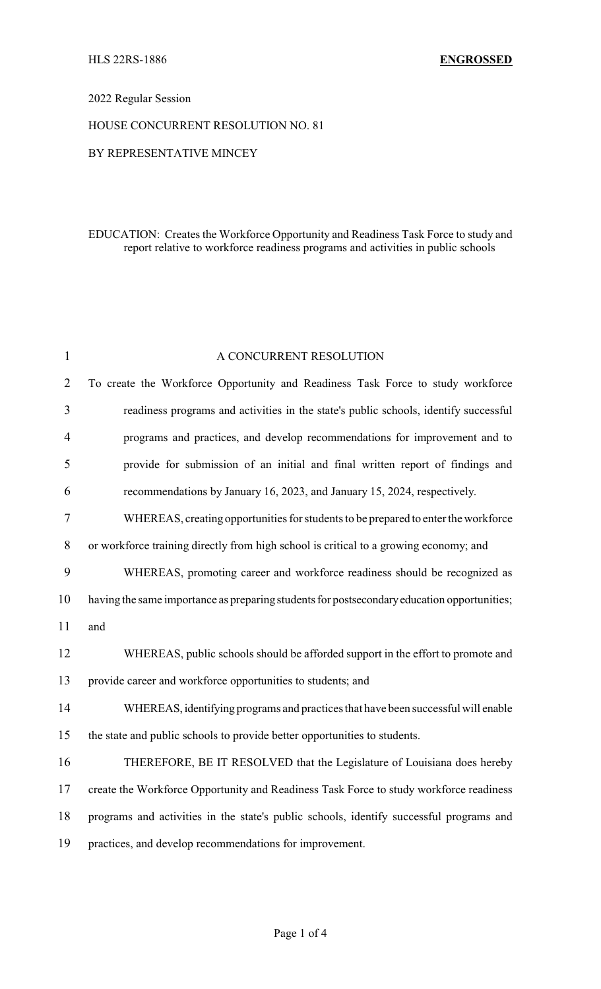## 2022 Regular Session

#### HOUSE CONCURRENT RESOLUTION NO. 81

#### BY REPRESENTATIVE MINCEY

## EDUCATION: Creates the Workforce Opportunity and Readiness Task Force to study and report relative to workforce readiness programs and activities in public schools

| $\mathbf{1}$   | A CONCURRENT RESOLUTION                                                                     |  |  |
|----------------|---------------------------------------------------------------------------------------------|--|--|
| $\overline{2}$ | To create the Workforce Opportunity and Readiness Task Force to study workforce             |  |  |
| 3              | readiness programs and activities in the state's public schools, identify successful        |  |  |
| $\overline{4}$ | programs and practices, and develop recommendations for improvement and to                  |  |  |
| 5              | provide for submission of an initial and final written report of findings and               |  |  |
| 6              | recommendations by January 16, 2023, and January 15, 2024, respectively.                    |  |  |
| 7              | WHEREAS, creating opportunities for students to be prepared to enter the workforce          |  |  |
| 8              | or workforce training directly from high school is critical to a growing economy; and       |  |  |
| 9              | WHEREAS, promoting career and workforce readiness should be recognized as                   |  |  |
| 10             | having the same importance as preparing students for postsecondary education opportunities; |  |  |
| 11             | and                                                                                         |  |  |
| 12             | WHEREAS, public schools should be afforded support in the effort to promote and             |  |  |
| 13             | provide career and workforce opportunities to students; and                                 |  |  |
| 14             | WHEREAS, identifying programs and practices that have been successful will enable           |  |  |
| 15             | the state and public schools to provide better opportunities to students.                   |  |  |
| 16             | THEREFORE, BE IT RESOLVED that the Legislature of Louisiana does hereby                     |  |  |
| 17             | create the Workforce Opportunity and Readiness Task Force to study workforce readiness      |  |  |
| 18             | programs and activities in the state's public schools, identify successful programs and     |  |  |
| 19             | practices, and develop recommendations for improvement.                                     |  |  |
|                |                                                                                             |  |  |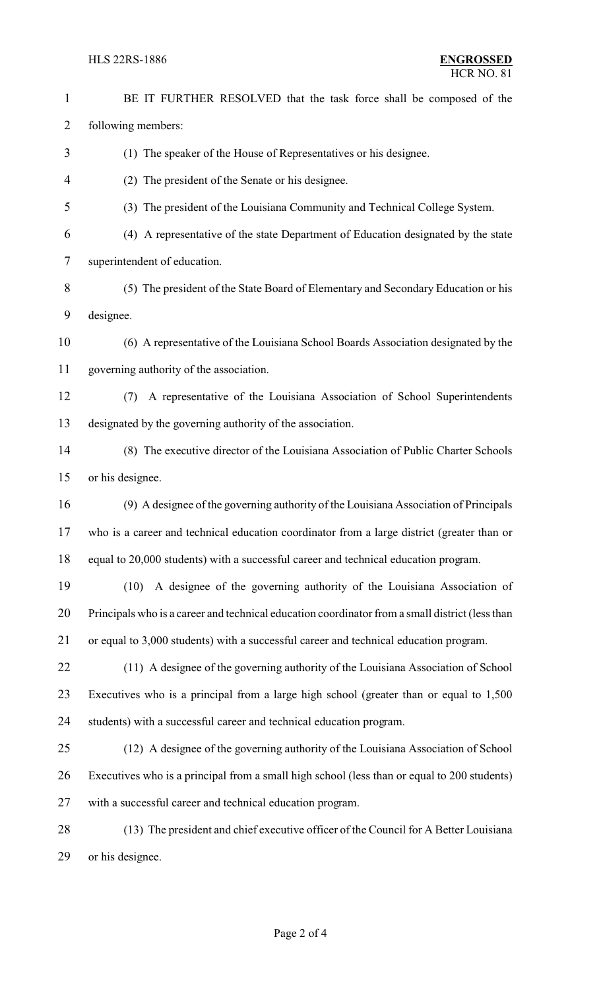#### HLS 22RS-1886 **ENGROSSED**

 BE IT FURTHER RESOLVED that the task force shall be composed of the following members: (1) The speaker of the House of Representatives or his designee. (2) The president of the Senate or his designee. (3) The president of the Louisiana Community and Technical College System. (4) A representative of the state Department of Education designated by the state superintendent of education. (5) The president of the State Board of Elementary and Secondary Education or his designee. (6) A representative of the Louisiana School Boards Association designated by the governing authority of the association. (7) A representative of the Louisiana Association of School Superintendents designated by the governing authority of the association. (8) The executive director of the Louisiana Association of Public Charter Schools or his designee. (9) A designee of the governing authority of the Louisiana Association of Principals who is a career and technical education coordinator from a large district (greater than or equal to 20,000 students) with a successful career and technical education program. (10) A designee of the governing authority of the Louisiana Association of Principals who is a career and technical education coordinator from a small district (less than or equal to 3,000 students) with a successful career and technical education program. (11) A designee of the governing authority of the Louisiana Association of School Executives who is a principal from a large high school (greater than or equal to 1,500 students) with a successful career and technical education program. (12) A designee of the governing authority of the Louisiana Association of School Executives who is a principal from a small high school (less than or equal to 200 students) with a successful career and technical education program. (13) The president and chief executive officer of the Council for A Better Louisiana or his designee.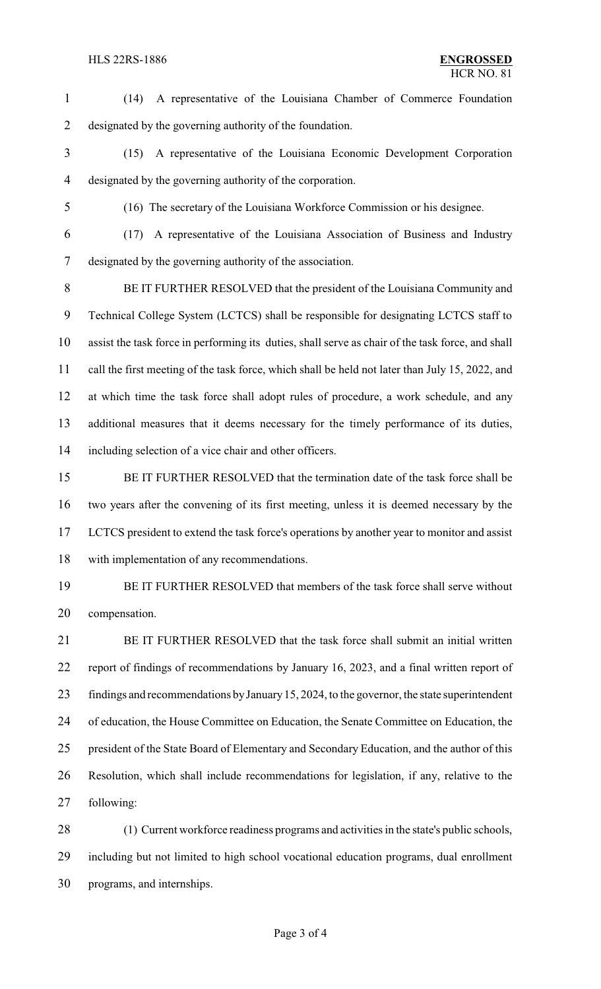(14) A representative of the Louisiana Chamber of Commerce Foundation designated by the governing authority of the foundation. (15) A representative of the Louisiana Economic Development Corporation designated by the governing authority of the corporation.

(16) The secretary of the Louisiana Workforce Commission or his designee.

 (17) A representative of the Louisiana Association of Business and Industry designated by the governing authority of the association.

 BE IT FURTHER RESOLVED that the president of the Louisiana Community and Technical College System (LCTCS) shall be responsible for designating LCTCS staff to assist the task force in performing its duties, shall serve as chair of the task force, and shall call the first meeting of the task force, which shall be held not later than July 15, 2022, and at which time the task force shall adopt rules of procedure, a work schedule, and any additional measures that it deems necessary for the timely performance of its duties, including selection of a vice chair and other officers.

 BE IT FURTHER RESOLVED that the termination date of the task force shall be two years after the convening of its first meeting, unless it is deemed necessary by the LCTCS president to extend the task force's operations by another year to monitor and assist with implementation of any recommendations.

 BE IT FURTHER RESOLVED that members of the task force shall serve without compensation.

 BE IT FURTHER RESOLVED that the task force shall submit an initial written report of findings of recommendations by January 16, 2023, and a final written report of findings and recommendations byJanuary15, 2024, to the governor, the state superintendent of education, the House Committee on Education, the Senate Committee on Education, the president of the State Board of Elementary and Secondary Education, and the author of this Resolution, which shall include recommendations for legislation, if any, relative to the following:

 (1) Current workforce readiness programs and activities in the state's public schools, including but not limited to high school vocational education programs, dual enrollment programs, and internships.